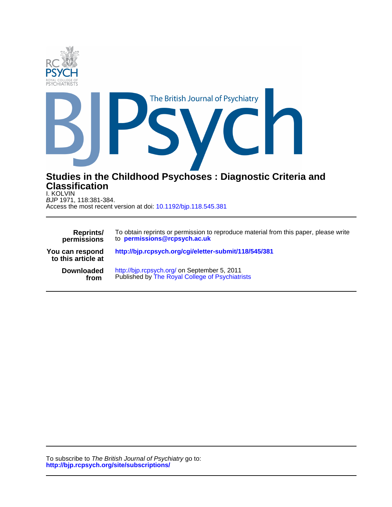

Access the most recent version at doi: 10.1192/bjp.118.545.381 BJP 1971, 118:381-384. I. KOLVIN

| <b>Reprints/</b>                      | To obtain reprints or permission to reproduce material from this paper, please write |
|---------------------------------------|--------------------------------------------------------------------------------------|
| permissions                           | to permissions@rcpsych.ac.uk                                                         |
| You can respond<br>to this article at | http://bjp.rcpsych.org/cgi/eletter-submit/118/545/381                                |
| <b>Downloaded</b>                     | http://bjp.rcpsych.org/ on September 5, 2011                                         |
| from                                  | Published by The Royal College of Psychiatrists                                      |

**http://bjp.rcpsych.org/site/subscriptions/** To subscribe to The British Journal of Psychiatry go to: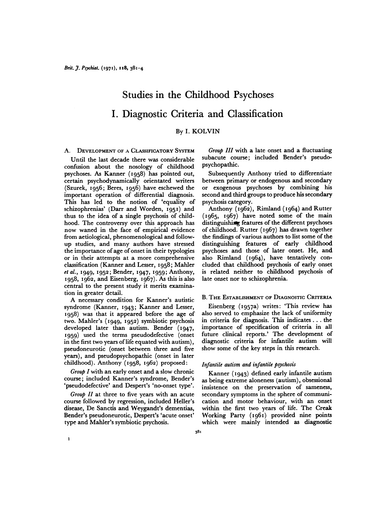# Studies in the Childhood Psychoses I. Diagnostic Criteria and Classification

# By I. KOLVIN

A. DEVELOPMENT OF A CLASSIFICATORY SYSTEM

Until the last decade there was considerable confusion about the nosology of childhood psychoses. As Kanner (1958) has pointed out, certain psychodynamically orientated writers (Szurek, 1956; Beres, 1956) have eschewed the important operation of differential diagnosis. This has led to the notion of 'equality of schizophrenias' (Darr and Worden, 1951) and thus to the idea of a single psychosis of child hood. The controversy over this approach has now waned in the face of empirical evidence from aetiological, phenomenological and follow up studies, and many authors have stressed the importance of age of onset in their typologies or in their attempts at a more comprehensive classification (Kanner and Lesser, 1958; Mahler  $et al., 1949, 1952; Bender, 1947, 1959; Anthony,$ 1958, 1962, and Eisenberg, 1967). As this is also central to the present study it merits examina tion in greater detail.

A necessary condition for Kanner's autistic syndrome (Kanner, 1943; Kanner and Lesser, **1958) was that it appeared before the age of** two. Mahler's (1949, 1952) symbiotic psychosis developed later than autism. Bender (1947, **1959) used the terms pseudodefective (onset** in the first two years of life equated with autism), pseudoneurotic (onset between three and five years), and pseudopsychopathic (onset in later childhood). Anthony (1958, 1962) proposed:

*Group I with an early onset and a slow chronic* course; included Kanner's syndrome, Bender's 'pseudodefective' and Despert's 'no-onset type'.

Group  $II$  at three to five years with an acute course followed by regression, included Heller's disease, Dc Sanctis and Weygandt's dementias, Bender's pseudoneurotic, Despert's 'acute onset' type and Mahler's symbiotic psychosis.

*Group IIIwith a late onset and a fluctuating* subacute course; included Bender's pseudo psychopathic.

Subsequently Anthony tried to differentiate between primary or endogenous and secondary or exogenous psychoses by combining his second and third groups to produce his secondary psychosis category.

Anthony (1962), Rimland (1964) and Rutter (1965, 1967) have noted some of the main distinguishing features of the different psychoses of childhood. Rutter (1967) has drawn together the findings of various authors to list some of the distinguishing features of early childhood psychoses and those of later onset. He, and also Rimland (1964), have tentatively con cluded that childhood psychosis of early onset is related neither to childhood psychosis of late onset nor to schizophrenia.

# B. THE ESTABLISHMENT OF DIAGNOSTIC CRITERIA

Eisenberg (1957a) writes: 'This review has also served to emphasize the lack of uniformity in criteria for diagnosis. This indicates.. . the importance of specification of criteria in all future clinical reports.' The development of diagnostic criteria for infantile autism will show some of the key steps in this research.

# *Infantile autism and infantile psychosis*

Kanner (1943) defined early infantile autism as being extreme aloneness (autism), obsessional insistence on the preservation of sameness, secondary symptoms in the sphere of communi cation and motor behaviour, with an onset within the first two years of life. The Creak Working Party (1961) provided nine points which were mainly intended as diagnostic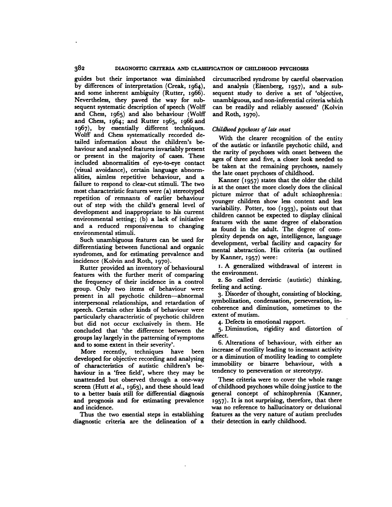guides but their importance was diminished by differences of interpretation (Creak, 1964), and some inherent ambiguity (Rutter, 1966). Nevertheless, they paved the way for sub sequent systematic description of speech (Wolff and Chess, 1965) and also behaviour (Wolff and Chess, 1964; and Rutter 1965, 1966 and 1967), by essentially different techniques. Wolff and Chess systematically recorded de tailed information about the children's be haviour and analysed features invariably present or present in the majority of cases. These included abnormalities of eye-to-eye contact (visual avoidance), certain language abnorm alities, aimless repetitive behaviour, and a failure to respond to clear-cut stimuli. The two most characteristic features were (a) stereotyped repetition of remnants of earlier behaviour out of step with the child's general level of development and inappropriate to his current environmental setting; (b) a lack of initiative and a reduced responsiveness to changing environmental stimuli.

Such unambiguous features can be used for differentiating between functional and organic syndromes, and for estimating prevalence and incidence (Kolvin and Roth, 1970).

Rutter provided an inventory of behavioural features with the further merit of comparing the frequency of their incidence in a control group. Only two items of behaviour were present in all psychotic children—abnormal interpersonal relationships, and retardation of speech. Certain other kinds of behaviour were particularly characteristic of psychotic children but did not occur exclusively in them. He concluded that 'the difference between the groups lay largely in the patterning of symptoms and to some extent in their severity'.

More recently, techniques have been developed for objective recording and analysing of characteristics of autistic children's be haviour in a 'free field', where they may be unattended but observed through a one-way screen (Hutt et al., 1963), and these should lead to a better basis still for differential diagnosis and prognosis and for estimating prevalence and incidence.

Thus the two essential steps in establishing diagnostic criteria are the delineation of a

circumscribed syndrome by careful observation and analysis (Eisenberg, 1957), and a subsequent study to derive a set of 'objective, unambiguous, and non-inferential criteria which can be readily and reliably assessed' (Kolvin and Roth, 1970).

# Childhood psychoses of late onset

With the clearer recognition of the entity of the autistic or infantile psychotic child, and the rarity of psychoses with onset between the ages of three and five, a closer look needed to be taken at the remaining psychoses, namely the late onset psychoses of childhood.

Kanner  $(1957)$  states that the older the child is at the onset the more closely does the clinical picture mirror that of adult schizophrenia: younger children show less content and less variability. Potter, too (1933), points out that children cannot be expected to display clinical features with the same degree of elaboration as found in the adult. The degree of com plexity depends on age, intelligence, language development, verbal facility and capacity for mental abstraction. His criteria (as outlined by Kanner, 1957) were:

i.A generalized withdrawal of interest in the environment.

**2. So called dereistic (autistic) thinking,** feeling and acting.

3. Disorder of thought, consisting of blocking, symbolization, condensation, perseveration, in coherence and diminution, sometimes to the extent of mutism.

4. Defects in emotional rapport.

5. Diminution, rigidity and distortion of affect.

6. Alterations of behaviour, with either an increase of motility leading to incessant activity or a diminution of motility leading to complete immobility or bizarre behaviour, with a tendency to perseveration or stereotypy.

These criteria were to cover the whole range of childhood psychoses while doing justice to the general concept of schizophrenia (Kanner, **1957). It is not surprising, therefore, that there** was no reference to hallucinatory or delusional features as the very nature of autism precludes their detection in early childhood.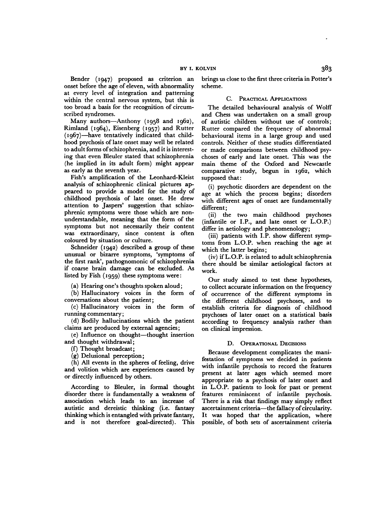Bender (1947) proposed as criterion an onset before the age of eleven, with abnormality at every level of integration and patterning within the central nervous system, but this is too broad a basis for the recognition of circum scribed syndromes.

Many authors—Anthony (1958 and 1962), Rimland ( $1964$ ), Eisenberg ( $1957$ ) and Rutter (1967)—have tentatively indicated that child hood psychosis of late onset may well be related to adult forms of schizophrenia, and it is interest ing that even Bleuler stated that schizophrenia (he implied in its adult form) might appear as early as the seventh year.

Fish's amplification of the Leonhard-Kleist analysis of schizophrenic clinical pictures ap peared to provide a model for the study of childhood psychosis of late onset. He drew attention to Jaspers' suggestion that schizo phrenic symptoms were those which are non understandable, meaning that the form of the symptoms but not necessarily their content was extraordinary, since content is often coloured by situation or culture.

Schneider (1942) described a group of these unusual or bizarre symptoms, 'symptoms of the first rank', pathognomonic of schizophrenia if coarse brain damage can be excluded. As listed by Fish  $(1959)$  these symptoms were:

(a) Hearing one's thoughts spoken aloud;

(b) Hallucinatory voices in the form of conversations about the patient;

(c) Hallucinatory voices in the form of running commentary;

(d) Bodily hallucinations which the patient claims are produced by external agencies;

(e) Influence on thought—thought insertion and thought withdrawal;

(f) Thought broadcast;

(g) Delusional perception;

(h) All events in the spheres of feeling, drive and volition which are experiences caused by or directly influenced by others.

According to Bleuler, in formal thought disorder there is fundamentally a weakness of association which leads to an increase of autistic and dereistic thinking (i.e. fantasy thinking which is entangled with private fantasy, and is not therefore goal-directed). This

brings us close to the first three criteria in Potter's scheme.

# C. PRACTICAL APPLICATIONS

The detailed behavioural analysis of Wolff and Chess was undertaken on a small group of autistic children without use of controls; Rutter compared the frequency of abnormal behavioural items in a large group and used controls. Neither of these studies differentiated or made comparisons between childhood psy choses of early and late onset. This was the main theme of the Oxford and Newcastle comparative study, begun in 1962, which supposed that:

(i) psychotic disorders are dependent on the age at which the process begins; disorders with different ages of onset are fundamentally different;

(ii) the two main childhood psychoses (infantile or I.P., and late onset or L.O.P.) differ in aetiology and phenomenology;

(iii) patients with I.P. show different symptoms from L.O.P. when reaching the age at which the latter begins;

(iv) if L.O.P. is related to adult schizophrenia there should be similar aetiological factors at work.

Our study aimed to test these hypotheses, to collect accurate information on the frequency of occurrence of the different symptoms in the different childhood psychoses, and to establish criteria for diagnosis of childhood psychoses of later onset on a statistical basis according to frequency analysis rather than on clinical impression.

# D. OPERATIONAL DECISIONS

Because development complicates the mani festation of symptoms we decided in patients with infantile psychosis to record the features present at later ages which seemed more appropriate to a psychosis of later onset and in L.O.P. patients to look for past or present features reminiscent of infantile psychosis. There is a risk that findings may simply reflect ascertainment criteria—the fallacy of circularity. It was hoped that the application, where possible, of both sets of ascertainment criteria